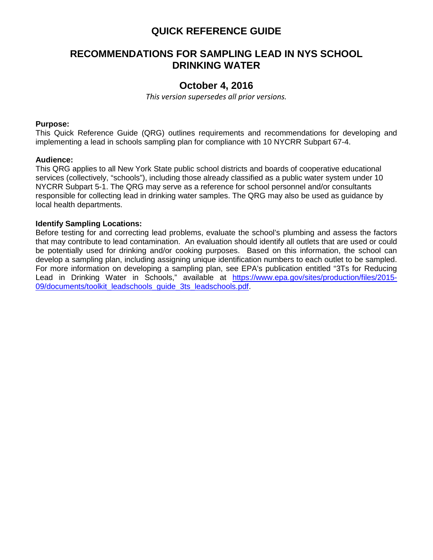## **QUICK REFERENCE GUIDE**

# **RECOMMENDATIONS FOR SAMPLING LEAD IN NYS SCHOOL DRINKING WATER**

## **October 4, 2016**

*This version supersedes all prior versions.*

#### **Purpose:**

This Quick Reference Guide (QRG) outlines requirements and recommendations for developing and implementing a lead in schools sampling plan for compliance with 10 NYCRR Subpart 67-4.

### **Audience:**

This QRG applies to all New York State public school districts and boards of cooperative educational services (collectively, "schools"), including those already classified as a public water system under 10 NYCRR Subpart 5-1. The QRG may serve as a reference for school personnel and/or consultants responsible for collecting lead in drinking water samples. The QRG may also be used as guidance by local health departments.

#### **Identify Sampling Locations:**

Before testing for and correcting lead problems, evaluate the school's plumbing and assess the factors that may contribute to lead contamination. An evaluation should identify all outlets that are used or could be potentially used for drinking and/or cooking purposes. Based on this information, the school can develop a sampling plan, including assigning unique identification numbers to each outlet to be sampled. For more information on developing a sampling plan, see EPA's publication entitled "3Ts for Reducing Lead in Drinking Water in Schools," available at [https://www.epa.gov/sites/production/files/2015-](https://www.epa.gov/sites/production/files/2015-09/documents/toolkit_leadschools_guide_3ts_leadschools.pdf) [09/documents/toolkit\\_leadschools\\_guide\\_3ts\\_leadschools.pdf.](https://www.epa.gov/sites/production/files/2015-09/documents/toolkit_leadschools_guide_3ts_leadschools.pdf)